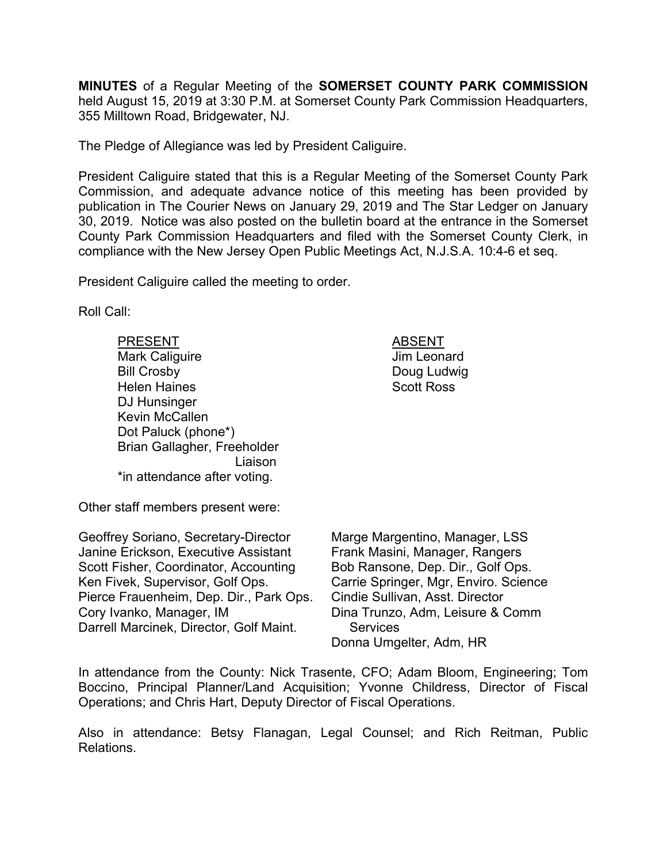**MINUTES** of a Regular Meeting of the **SOMERSET COUNTY PARK COMMISSION** held August 15, 2019 at 3:30 P.M. at Somerset County Park Commission Headquarters, 355 Milltown Road, Bridgewater, NJ.

The Pledge of Allegiance was led by President Caliguire.

President Caliguire stated that this is a Regular Meeting of the Somerset County Park Commission, and adequate advance notice of this meeting has been provided by publication in The Courier News on January 29, 2019 and The Star Ledger on January 30, 2019. Notice was also posted on the bulletin board at the entrance in the Somerset County Park Commission Headquarters and filed with the Somerset County Clerk, in compliance with the New Jersey Open Public Meetings Act, N.J.S.A. 10:4-6 et seq.

President Caliguire called the meeting to order.

Roll Call:

PRESENT ABSENT Mark Caliguire **Mark Caliguire Jim Leonard** Bill Crosby **Doug Ludwig** Helen Haines **Scott Ross** DJ Hunsinger Kevin McCallen Dot Paluck (phone\*) Brian Gallagher, Freeholder Liaison \*in attendance after voting.

Other staff members present were:

Geoffrey Soriano, Secretary-Director Janine Erickson, Executive Assistant Scott Fisher, Coordinator, Accounting Ken Fivek, Supervisor, Golf Ops. Pierce Frauenheim, Dep. Dir., Park Ops. Cory Ivanko, Manager, IM Darrell Marcinek, Director, Golf Maint.

Marge Margentino, Manager, LSS Frank Masini, Manager, Rangers Bob Ransone, Dep. Dir., Golf Ops. Carrie Springer, Mgr, Enviro. Science Cindie Sullivan, Asst. Director Dina Trunzo, Adm, Leisure & Comm **Services** Donna Umgelter, Adm, HR

In attendance from the County: Nick Trasente, CFO; Adam Bloom, Engineering; Tom Boccino, Principal Planner/Land Acquisition; Yvonne Childress, Director of Fiscal Operations; and Chris Hart, Deputy Director of Fiscal Operations.

Also in attendance: Betsy Flanagan, Legal Counsel; and Rich Reitman, Public Relations.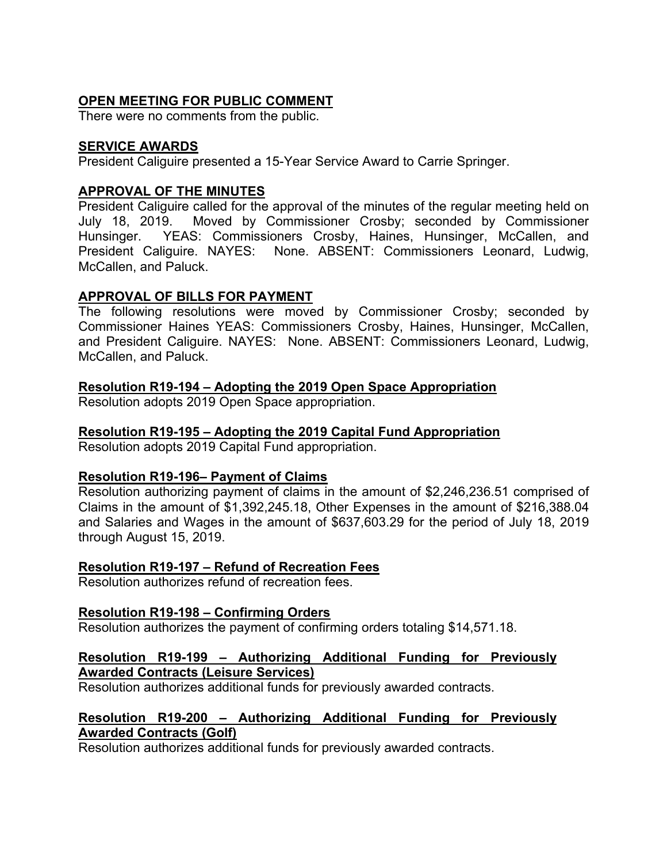# **OPEN MEETING FOR PUBLIC COMMENT**

There were no comments from the public.

## **SERVICE AWARDS**

President Caliguire presented a 15-Year Service Award to Carrie Springer.

## **APPROVAL OF THE MINUTES**

President Caliguire called for the approval of the minutes of the regular meeting held on July 18, 2019. Moved by Commissioner Crosby; seconded by Commissioner Hunsinger. YEAS: Commissioners Crosby, Haines, Hunsinger, McCallen, and President Caliguire. NAYES: None. ABSENT: Commissioners Leonard, Ludwig, McCallen, and Paluck.

## **APPROVAL OF BILLS FOR PAYMENT**

The following resolutions were moved by Commissioner Crosby; seconded by Commissioner Haines YEAS: Commissioners Crosby, Haines, Hunsinger, McCallen, and President Caliguire. NAYES: None. ABSENT: Commissioners Leonard, Ludwig, McCallen, and Paluck.

**Resolution R19-194 – Adopting the 2019 Open Space Appropriation** 

Resolution adopts 2019 Open Space appropriation.

## **Resolution R19-195 – Adopting the 2019 Capital Fund Appropriation**

Resolution adopts 2019 Capital Fund appropriation.

## **Resolution R19-196– Payment of Claims**

Resolution authorizing payment of claims in the amount of \$2,246,236.51 comprised of Claims in the amount of \$1,392,245.18, Other Expenses in the amount of \$216,388.04 and Salaries and Wages in the amount of \$637,603.29 for the period of July 18, 2019 through August 15, 2019.

## **Resolution R19-197 – Refund of Recreation Fees**

Resolution authorizes refund of recreation fees.

## **Resolution R19-198 – Confirming Orders**

Resolution authorizes the payment of confirming orders totaling \$14,571.18.

## **Resolution R19-199 – Authorizing Additional Funding for Previously Awarded Contracts (Leisure Services)**

Resolution authorizes additional funds for previously awarded contracts.

# **Resolution R19-200 – Authorizing Additional Funding for Previously Awarded Contracts (Golf)**

Resolution authorizes additional funds for previously awarded contracts.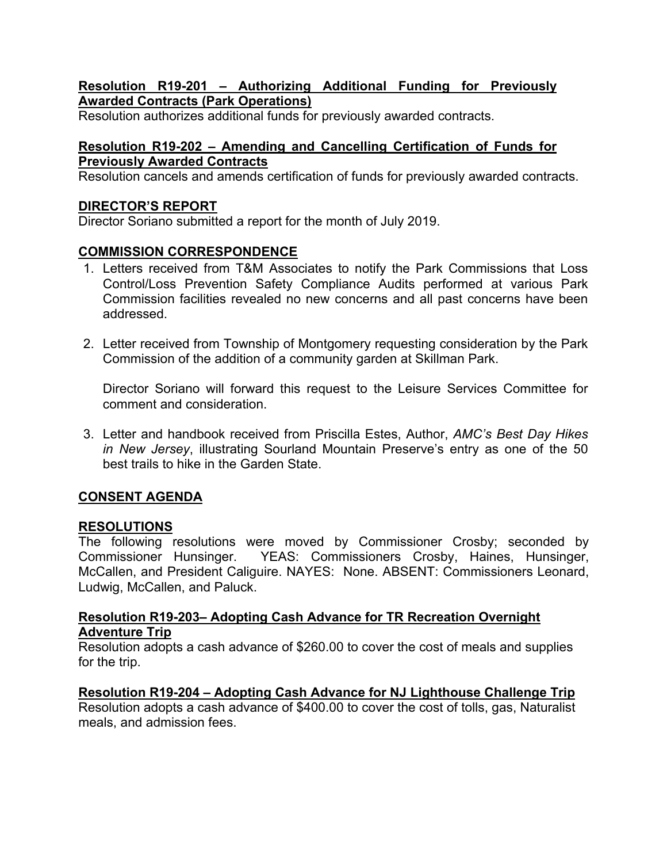## **Resolution R19-201 – Authorizing Additional Funding for Previously Awarded Contracts (Park Operations)**

Resolution authorizes additional funds for previously awarded contracts.

# **Resolution R19-202 – Amending and Cancelling Certification of Funds for Previously Awarded Contracts**

Resolution cancels and amends certification of funds for previously awarded contracts.

# **DIRECTOR'S REPORT**

Director Soriano submitted a report for the month of July 2019.

# **COMMISSION CORRESPONDENCE**

- 1. Letters received from T&M Associates to notify the Park Commissions that Loss Control/Loss Prevention Safety Compliance Audits performed at various Park Commission facilities revealed no new concerns and all past concerns have been addressed.
- 2. Letter received from Township of Montgomery requesting consideration by the Park Commission of the addition of a community garden at Skillman Park.

Director Soriano will forward this request to the Leisure Services Committee for comment and consideration.

3. Letter and handbook received from Priscilla Estes, Author, *AMC's Best Day Hikes in New Jersey*, illustrating Sourland Mountain Preserve's entry as one of the 50 best trails to hike in the Garden State.

# **CONSENT AGENDA**

## **RESOLUTIONS**

The following resolutions were moved by Commissioner Crosby; seconded by Commissioner Hunsinger. YEAS: Commissioners Crosby, Haines, Hunsinger, McCallen, and President Caliguire. NAYES: None. ABSENT: Commissioners Leonard, Ludwig, McCallen, and Paluck.

## **Resolution R19-203– Adopting Cash Advance for TR Recreation Overnight Adventure Trip**

Resolution adopts a cash advance of \$260.00 to cover the cost of meals and supplies for the trip.

## **Resolution R19-204 – Adopting Cash Advance for NJ Lighthouse Challenge Trip**

Resolution adopts a cash advance of \$400.00 to cover the cost of tolls, gas, Naturalist meals, and admission fees.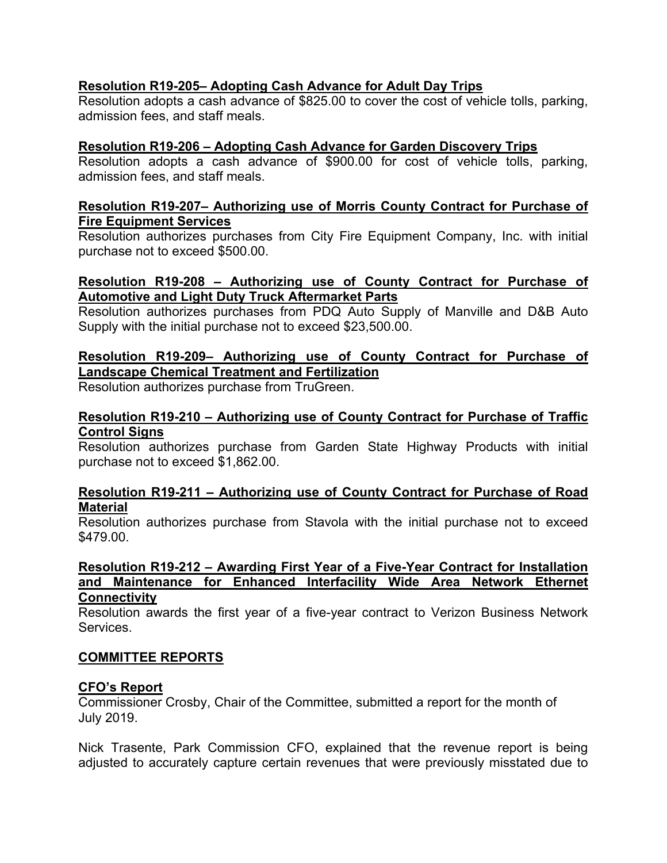# **Resolution R19-205– Adopting Cash Advance for Adult Day Trips**

Resolution adopts a cash advance of \$825.00 to cover the cost of vehicle tolls, parking, admission fees, and staff meals.

## **Resolution R19-206 – Adopting Cash Advance for Garden Discovery Trips**

Resolution adopts a cash advance of \$900.00 for cost of vehicle tolls, parking, admission fees, and staff meals.

#### **Resolution R19-207– Authorizing use of Morris County Contract for Purchase of Fire Equipment Services**

Resolution authorizes purchases from City Fire Equipment Company, Inc. with initial purchase not to exceed \$500.00.

## **Resolution R19-208 – Authorizing use of County Contract for Purchase of Automotive and Light Duty Truck Aftermarket Parts**

Resolution authorizes purchases from PDQ Auto Supply of Manville and D&B Auto Supply with the initial purchase not to exceed \$23,500.00.

## **Resolution R19-209– Authorizing use of County Contract for Purchase of Landscape Chemical Treatment and Fertilization**

Resolution authorizes purchase from TruGreen.

## **Resolution R19-210 – Authorizing use of County Contract for Purchase of Traffic Control Signs**

Resolution authorizes purchase from Garden State Highway Products with initial purchase not to exceed \$1,862.00.

#### **Resolution R19-211 – Authorizing use of County Contract for Purchase of Road Material**

Resolution authorizes purchase from Stavola with the initial purchase not to exceed \$479.00.

#### **Resolution R19-212 – Awarding First Year of a Five-Year Contract for Installation and Maintenance for Enhanced Interfacility Wide Area Network Ethernet Connectivity**

Resolution awards the first year of a five-year contract to Verizon Business Network Services.

## **COMMITTEE REPORTS**

## **CFO's Report**

Commissioner Crosby, Chair of the Committee, submitted a report for the month of July 2019.

Nick Trasente, Park Commission CFO, explained that the revenue report is being adjusted to accurately capture certain revenues that were previously misstated due to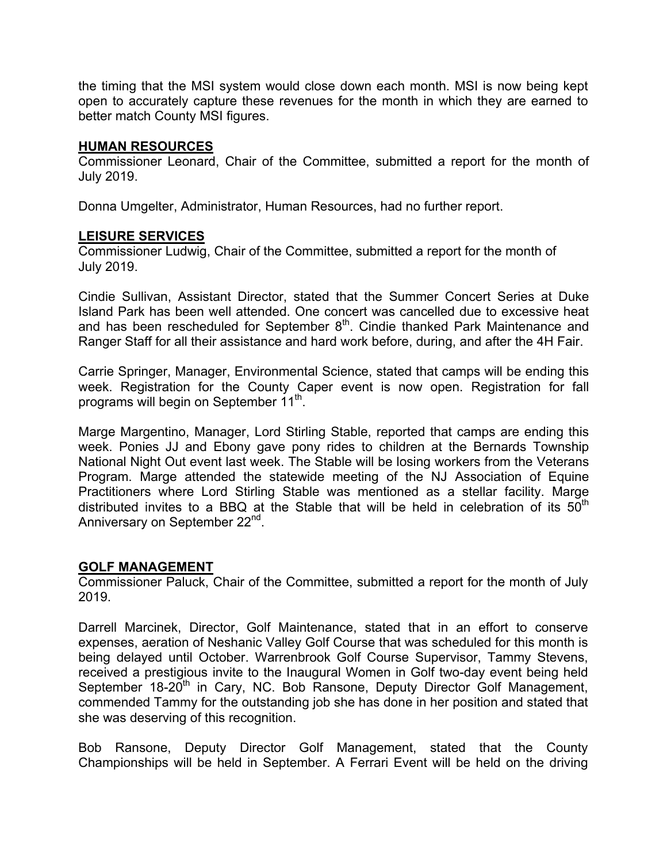the timing that the MSI system would close down each month. MSI is now being kept open to accurately capture these revenues for the month in which they are earned to better match County MSI figures.

#### **HUMAN RESOURCES**

Commissioner Leonard, Chair of the Committee, submitted a report for the month of July 2019.

Donna Umgelter, Administrator, Human Resources, had no further report.

#### **LEISURE SERVICES**

Commissioner Ludwig, Chair of the Committee, submitted a report for the month of July 2019.

Cindie Sullivan, Assistant Director, stated that the Summer Concert Series at Duke Island Park has been well attended. One concert was cancelled due to excessive heat and has been rescheduled for September  $8<sup>th</sup>$ . Cindie thanked Park Maintenance and Ranger Staff for all their assistance and hard work before, during, and after the 4H Fair.

Carrie Springer, Manager, Environmental Science, stated that camps will be ending this week. Registration for the County Caper event is now open. Registration for fall programs will begin on September 11<sup>th</sup>.

Marge Margentino, Manager, Lord Stirling Stable, reported that camps are ending this week. Ponies JJ and Ebony gave pony rides to children at the Bernards Township National Night Out event last week. The Stable will be losing workers from the Veterans Program. Marge attended the statewide meeting of the NJ Association of Equine Practitioners where Lord Stirling Stable was mentioned as a stellar facility. Marge distributed invites to a BBQ at the Stable that will be held in celebration of its  $50<sup>th</sup>$ Anniversary on September 22<sup>nd</sup>.

#### **GOLF MANAGEMENT**

Commissioner Paluck, Chair of the Committee, submitted a report for the month of July 2019.

Darrell Marcinek, Director, Golf Maintenance, stated that in an effort to conserve expenses, aeration of Neshanic Valley Golf Course that was scheduled for this month is being delayed until October. Warrenbrook Golf Course Supervisor, Tammy Stevens, received a prestigious invite to the Inaugural Women in Golf two-day event being held September 18-20<sup>th</sup> in Cary, NC. Bob Ransone, Deputy Director Golf Management, commended Tammy for the outstanding job she has done in her position and stated that she was deserving of this recognition.

Bob Ransone, Deputy Director Golf Management, stated that the County Championships will be held in September. A Ferrari Event will be held on the driving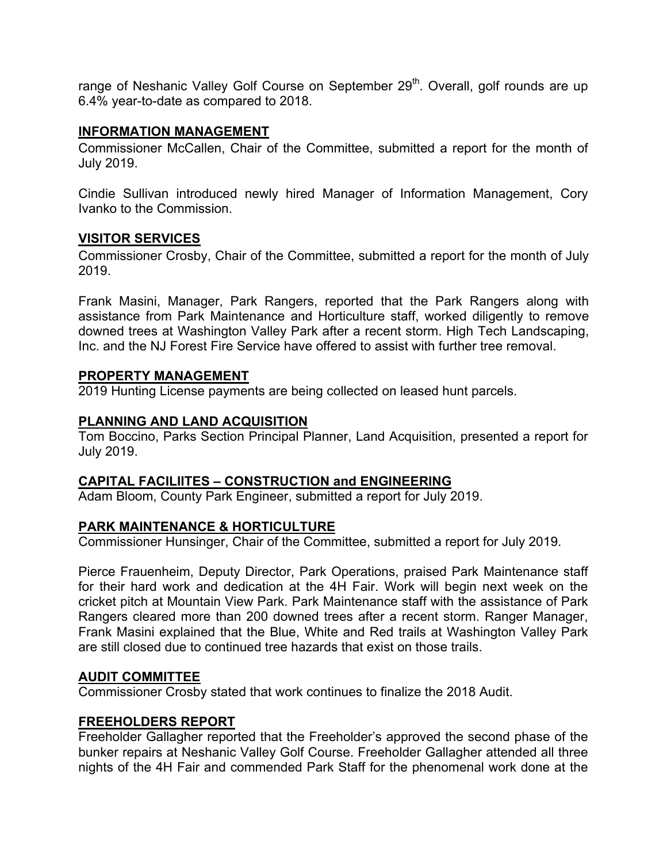range of Neshanic Valley Golf Course on September 29<sup>th</sup>. Overall, golf rounds are up 6.4% year-to-date as compared to 2018.

## **INFORMATION MANAGEMENT**

Commissioner McCallen, Chair of the Committee, submitted a report for the month of July 2019.

Cindie Sullivan introduced newly hired Manager of Information Management, Cory Ivanko to the Commission.

## **VISITOR SERVICES**

Commissioner Crosby, Chair of the Committee, submitted a report for the month of July 2019.

Frank Masini, Manager, Park Rangers, reported that the Park Rangers along with assistance from Park Maintenance and Horticulture staff, worked diligently to remove downed trees at Washington Valley Park after a recent storm. High Tech Landscaping, Inc. and the NJ Forest Fire Service have offered to assist with further tree removal.

## **PROPERTY MANAGEMENT**

2019 Hunting License payments are being collected on leased hunt parcels.

# **PLANNING AND LAND ACQUISITION**

Tom Boccino, Parks Section Principal Planner, Land Acquisition, presented a report for July 2019.

# **CAPITAL FACILIITES – CONSTRUCTION and ENGINEERING**

Adam Bloom, County Park Engineer, submitted a report for July 2019.

# **PARK MAINTENANCE & HORTICULTURE**

Commissioner Hunsinger, Chair of the Committee, submitted a report for July 2019.

Pierce Frauenheim, Deputy Director, Park Operations, praised Park Maintenance staff for their hard work and dedication at the 4H Fair. Work will begin next week on the cricket pitch at Mountain View Park. Park Maintenance staff with the assistance of Park Rangers cleared more than 200 downed trees after a recent storm. Ranger Manager, Frank Masini explained that the Blue, White and Red trails at Washington Valley Park are still closed due to continued tree hazards that exist on those trails.

## **AUDIT COMMITTEE**

Commissioner Crosby stated that work continues to finalize the 2018 Audit.

# **FREEHOLDERS REPORT**

Freeholder Gallagher reported that the Freeholder's approved the second phase of the bunker repairs at Neshanic Valley Golf Course. Freeholder Gallagher attended all three nights of the 4H Fair and commended Park Staff for the phenomenal work done at the